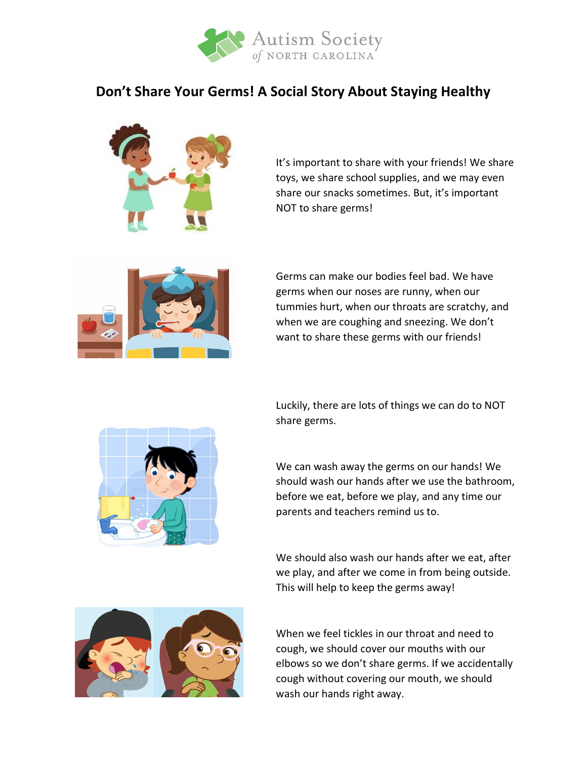

## **Don't Share Your Germs! A Social Story About Staying Healthy**



It's important to share with your friends! We share toys, we share school supplies, and we may even share our snacks sometimes. But, it's important NOT to share germs!



Germs can make our bodies feel bad. We have germs when our noses are runny, when our tummies hurt, when our throats are scratchy, and when we are coughing and sneezing. We don't want to share these germs with our friends!





We can wash away the germs on our hands! We should wash our hands after we use the bathroom, before we eat, before we play, and any time our parents and teachers remind us to.

We should also wash our hands after we eat, after we play, and after we come in from being outside. This will help to keep the germs away!



When we feel tickles in our throat and need to cough, we should cover our mouths with our elbows so we don't share germs. If we accidentally cough without covering our mouth, we should wash our hands right away.